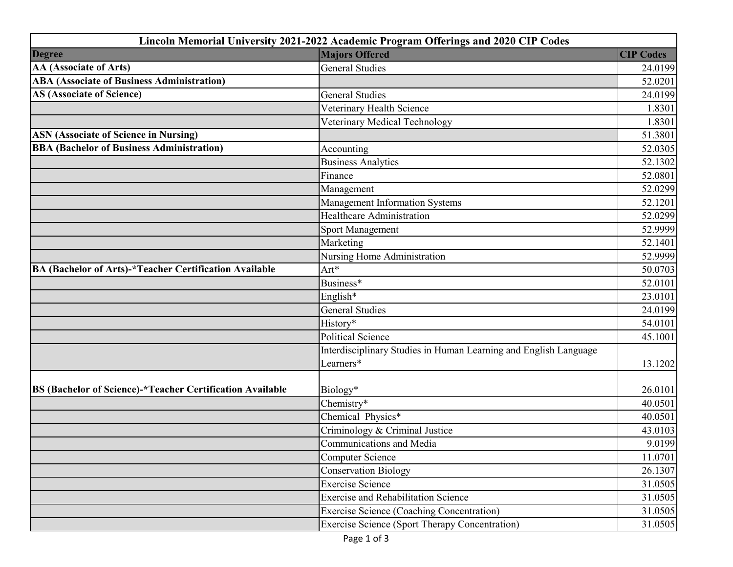| <b>Degree</b><br><b>Majors Offered</b><br><b>CIP Codes</b><br>AA (Associate of Arts)<br><b>General Studies</b><br>24.0199<br><b>ABA (Associate of Business Administration)</b><br>52.0201<br><b>AS (Associate of Science)</b><br><b>General Studies</b><br>24.0199<br>Veterinary Health Science<br>1.8301<br>Veterinary Medical Technology<br>1.8301<br><b>ASN (Associate of Science in Nursing)</b><br>51.3801<br><b>BBA (Bachelor of Business Administration)</b><br>52.0305<br>Accounting<br><b>Business Analytics</b><br>52.1302<br>Finance<br>52.0801<br>52.0299<br>Management<br>Management Information Systems<br>52.1201<br><b>Healthcare Administration</b><br>52.0299<br>52.9999<br><b>Sport Management</b><br>Marketing<br>52.1401<br>Nursing Home Administration<br>52.9999<br>BA (Bachelor of Arts)-*Teacher Certification Available<br>$Art*$<br>50.0703<br>Business*<br>52.0101<br>English*<br>23.0101<br><b>General Studies</b><br>24.0199<br>History*<br>54.0101<br><b>Political Science</b><br>45.1001<br>Interdisciplinary Studies in Human Learning and English Language<br>Learners*<br>13.1202<br>BS (Bachelor of Science)-*Teacher Certification Available<br>Biology*<br>26.0101<br>Chemistry*<br>40.0501<br>Chemical Physics*<br>40.0501<br>Criminology & Criminal Justice<br>43.0103<br>Communications and Media<br>9.0199<br>11.0701<br><b>Computer Science</b><br><b>Conservation Biology</b><br><b>Exercise Science</b><br><b>Exercise and Rehabilitation Science</b><br><b>Exercise Science (Coaching Concentration)</b><br><b>Exercise Science (Sport Therapy Concentration)</b> |  | Lincoln Memorial University 2021-2022 Academic Program Offerings and 2020 CIP Codes |         |  |
|-----------------------------------------------------------------------------------------------------------------------------------------------------------------------------------------------------------------------------------------------------------------------------------------------------------------------------------------------------------------------------------------------------------------------------------------------------------------------------------------------------------------------------------------------------------------------------------------------------------------------------------------------------------------------------------------------------------------------------------------------------------------------------------------------------------------------------------------------------------------------------------------------------------------------------------------------------------------------------------------------------------------------------------------------------------------------------------------------------------------------------------------------------------------------------------------------------------------------------------------------------------------------------------------------------------------------------------------------------------------------------------------------------------------------------------------------------------------------------------------------------------------------------------------------------------------------------------------------------------------|--|-------------------------------------------------------------------------------------|---------|--|
|                                                                                                                                                                                                                                                                                                                                                                                                                                                                                                                                                                                                                                                                                                                                                                                                                                                                                                                                                                                                                                                                                                                                                                                                                                                                                                                                                                                                                                                                                                                                                                                                                 |  |                                                                                     |         |  |
|                                                                                                                                                                                                                                                                                                                                                                                                                                                                                                                                                                                                                                                                                                                                                                                                                                                                                                                                                                                                                                                                                                                                                                                                                                                                                                                                                                                                                                                                                                                                                                                                                 |  |                                                                                     |         |  |
|                                                                                                                                                                                                                                                                                                                                                                                                                                                                                                                                                                                                                                                                                                                                                                                                                                                                                                                                                                                                                                                                                                                                                                                                                                                                                                                                                                                                                                                                                                                                                                                                                 |  |                                                                                     |         |  |
|                                                                                                                                                                                                                                                                                                                                                                                                                                                                                                                                                                                                                                                                                                                                                                                                                                                                                                                                                                                                                                                                                                                                                                                                                                                                                                                                                                                                                                                                                                                                                                                                                 |  |                                                                                     |         |  |
|                                                                                                                                                                                                                                                                                                                                                                                                                                                                                                                                                                                                                                                                                                                                                                                                                                                                                                                                                                                                                                                                                                                                                                                                                                                                                                                                                                                                                                                                                                                                                                                                                 |  |                                                                                     |         |  |
|                                                                                                                                                                                                                                                                                                                                                                                                                                                                                                                                                                                                                                                                                                                                                                                                                                                                                                                                                                                                                                                                                                                                                                                                                                                                                                                                                                                                                                                                                                                                                                                                                 |  |                                                                                     |         |  |
|                                                                                                                                                                                                                                                                                                                                                                                                                                                                                                                                                                                                                                                                                                                                                                                                                                                                                                                                                                                                                                                                                                                                                                                                                                                                                                                                                                                                                                                                                                                                                                                                                 |  |                                                                                     |         |  |
|                                                                                                                                                                                                                                                                                                                                                                                                                                                                                                                                                                                                                                                                                                                                                                                                                                                                                                                                                                                                                                                                                                                                                                                                                                                                                                                                                                                                                                                                                                                                                                                                                 |  |                                                                                     |         |  |
|                                                                                                                                                                                                                                                                                                                                                                                                                                                                                                                                                                                                                                                                                                                                                                                                                                                                                                                                                                                                                                                                                                                                                                                                                                                                                                                                                                                                                                                                                                                                                                                                                 |  |                                                                                     |         |  |
|                                                                                                                                                                                                                                                                                                                                                                                                                                                                                                                                                                                                                                                                                                                                                                                                                                                                                                                                                                                                                                                                                                                                                                                                                                                                                                                                                                                                                                                                                                                                                                                                                 |  |                                                                                     |         |  |
|                                                                                                                                                                                                                                                                                                                                                                                                                                                                                                                                                                                                                                                                                                                                                                                                                                                                                                                                                                                                                                                                                                                                                                                                                                                                                                                                                                                                                                                                                                                                                                                                                 |  |                                                                                     |         |  |
|                                                                                                                                                                                                                                                                                                                                                                                                                                                                                                                                                                                                                                                                                                                                                                                                                                                                                                                                                                                                                                                                                                                                                                                                                                                                                                                                                                                                                                                                                                                                                                                                                 |  |                                                                                     |         |  |
|                                                                                                                                                                                                                                                                                                                                                                                                                                                                                                                                                                                                                                                                                                                                                                                                                                                                                                                                                                                                                                                                                                                                                                                                                                                                                                                                                                                                                                                                                                                                                                                                                 |  |                                                                                     |         |  |
|                                                                                                                                                                                                                                                                                                                                                                                                                                                                                                                                                                                                                                                                                                                                                                                                                                                                                                                                                                                                                                                                                                                                                                                                                                                                                                                                                                                                                                                                                                                                                                                                                 |  |                                                                                     |         |  |
|                                                                                                                                                                                                                                                                                                                                                                                                                                                                                                                                                                                                                                                                                                                                                                                                                                                                                                                                                                                                                                                                                                                                                                                                                                                                                                                                                                                                                                                                                                                                                                                                                 |  |                                                                                     |         |  |
|                                                                                                                                                                                                                                                                                                                                                                                                                                                                                                                                                                                                                                                                                                                                                                                                                                                                                                                                                                                                                                                                                                                                                                                                                                                                                                                                                                                                                                                                                                                                                                                                                 |  |                                                                                     |         |  |
|                                                                                                                                                                                                                                                                                                                                                                                                                                                                                                                                                                                                                                                                                                                                                                                                                                                                                                                                                                                                                                                                                                                                                                                                                                                                                                                                                                                                                                                                                                                                                                                                                 |  |                                                                                     |         |  |
|                                                                                                                                                                                                                                                                                                                                                                                                                                                                                                                                                                                                                                                                                                                                                                                                                                                                                                                                                                                                                                                                                                                                                                                                                                                                                                                                                                                                                                                                                                                                                                                                                 |  |                                                                                     |         |  |
|                                                                                                                                                                                                                                                                                                                                                                                                                                                                                                                                                                                                                                                                                                                                                                                                                                                                                                                                                                                                                                                                                                                                                                                                                                                                                                                                                                                                                                                                                                                                                                                                                 |  |                                                                                     |         |  |
|                                                                                                                                                                                                                                                                                                                                                                                                                                                                                                                                                                                                                                                                                                                                                                                                                                                                                                                                                                                                                                                                                                                                                                                                                                                                                                                                                                                                                                                                                                                                                                                                                 |  |                                                                                     |         |  |
|                                                                                                                                                                                                                                                                                                                                                                                                                                                                                                                                                                                                                                                                                                                                                                                                                                                                                                                                                                                                                                                                                                                                                                                                                                                                                                                                                                                                                                                                                                                                                                                                                 |  |                                                                                     |         |  |
|                                                                                                                                                                                                                                                                                                                                                                                                                                                                                                                                                                                                                                                                                                                                                                                                                                                                                                                                                                                                                                                                                                                                                                                                                                                                                                                                                                                                                                                                                                                                                                                                                 |  |                                                                                     |         |  |
|                                                                                                                                                                                                                                                                                                                                                                                                                                                                                                                                                                                                                                                                                                                                                                                                                                                                                                                                                                                                                                                                                                                                                                                                                                                                                                                                                                                                                                                                                                                                                                                                                 |  |                                                                                     |         |  |
|                                                                                                                                                                                                                                                                                                                                                                                                                                                                                                                                                                                                                                                                                                                                                                                                                                                                                                                                                                                                                                                                                                                                                                                                                                                                                                                                                                                                                                                                                                                                                                                                                 |  |                                                                                     |         |  |
|                                                                                                                                                                                                                                                                                                                                                                                                                                                                                                                                                                                                                                                                                                                                                                                                                                                                                                                                                                                                                                                                                                                                                                                                                                                                                                                                                                                                                                                                                                                                                                                                                 |  |                                                                                     |         |  |
|                                                                                                                                                                                                                                                                                                                                                                                                                                                                                                                                                                                                                                                                                                                                                                                                                                                                                                                                                                                                                                                                                                                                                                                                                                                                                                                                                                                                                                                                                                                                                                                                                 |  |                                                                                     |         |  |
|                                                                                                                                                                                                                                                                                                                                                                                                                                                                                                                                                                                                                                                                                                                                                                                                                                                                                                                                                                                                                                                                                                                                                                                                                                                                                                                                                                                                                                                                                                                                                                                                                 |  |                                                                                     |         |  |
|                                                                                                                                                                                                                                                                                                                                                                                                                                                                                                                                                                                                                                                                                                                                                                                                                                                                                                                                                                                                                                                                                                                                                                                                                                                                                                                                                                                                                                                                                                                                                                                                                 |  |                                                                                     |         |  |
|                                                                                                                                                                                                                                                                                                                                                                                                                                                                                                                                                                                                                                                                                                                                                                                                                                                                                                                                                                                                                                                                                                                                                                                                                                                                                                                                                                                                                                                                                                                                                                                                                 |  |                                                                                     |         |  |
|                                                                                                                                                                                                                                                                                                                                                                                                                                                                                                                                                                                                                                                                                                                                                                                                                                                                                                                                                                                                                                                                                                                                                                                                                                                                                                                                                                                                                                                                                                                                                                                                                 |  |                                                                                     |         |  |
|                                                                                                                                                                                                                                                                                                                                                                                                                                                                                                                                                                                                                                                                                                                                                                                                                                                                                                                                                                                                                                                                                                                                                                                                                                                                                                                                                                                                                                                                                                                                                                                                                 |  |                                                                                     | 26.1307 |  |
|                                                                                                                                                                                                                                                                                                                                                                                                                                                                                                                                                                                                                                                                                                                                                                                                                                                                                                                                                                                                                                                                                                                                                                                                                                                                                                                                                                                                                                                                                                                                                                                                                 |  |                                                                                     | 31.0505 |  |
|                                                                                                                                                                                                                                                                                                                                                                                                                                                                                                                                                                                                                                                                                                                                                                                                                                                                                                                                                                                                                                                                                                                                                                                                                                                                                                                                                                                                                                                                                                                                                                                                                 |  |                                                                                     | 31.0505 |  |
|                                                                                                                                                                                                                                                                                                                                                                                                                                                                                                                                                                                                                                                                                                                                                                                                                                                                                                                                                                                                                                                                                                                                                                                                                                                                                                                                                                                                                                                                                                                                                                                                                 |  |                                                                                     | 31.0505 |  |
|                                                                                                                                                                                                                                                                                                                                                                                                                                                                                                                                                                                                                                                                                                                                                                                                                                                                                                                                                                                                                                                                                                                                                                                                                                                                                                                                                                                                                                                                                                                                                                                                                 |  |                                                                                     | 31.0505 |  |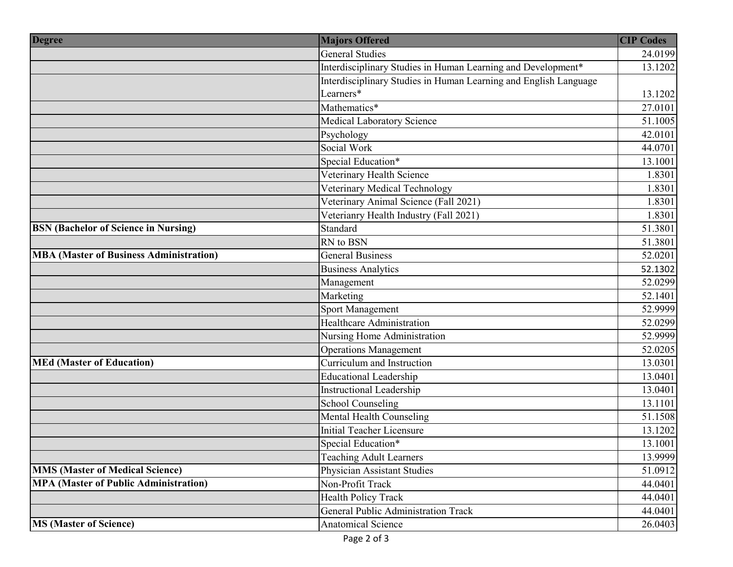| <b>Degree</b>                                  | <b>Majors Offered</b>                                            | <b>CIP Codes</b> |
|------------------------------------------------|------------------------------------------------------------------|------------------|
|                                                | <b>General Studies</b>                                           | 24.0199          |
|                                                | Interdisciplinary Studies in Human Learning and Development*     | 13.1202          |
|                                                | Interdisciplinary Studies in Human Learning and English Language |                  |
|                                                | Learners*                                                        | 13.1202          |
|                                                | Mathematics*                                                     | 27.0101          |
|                                                | Medical Laboratory Science                                       | 51.1005          |
|                                                | Psychology                                                       | 42.0101          |
|                                                | Social Work                                                      | 44.0701          |
|                                                | Special Education*                                               | 13.1001          |
|                                                | Veterinary Health Science                                        | 1.8301           |
|                                                | Veterinary Medical Technology                                    | 1.8301           |
|                                                | Veterinary Animal Science (Fall 2021)                            | 1.8301           |
|                                                | Veterianry Health Industry (Fall 2021)                           | 1.8301           |
| <b>BSN</b> (Bachelor of Science in Nursing)    | Standard                                                         | 51.3801          |
|                                                | RN to BSN                                                        | 51.3801          |
| <b>MBA (Master of Business Administration)</b> | <b>General Business</b>                                          | 52.0201          |
|                                                | <b>Business Analytics</b>                                        | 52.1302          |
|                                                | Management                                                       | 52.0299          |
|                                                | Marketing                                                        | 52.1401          |
|                                                | Sport Management                                                 | 52.9999          |
|                                                | <b>Healthcare Administration</b>                                 | 52.0299          |
|                                                | Nursing Home Administration                                      | 52.9999          |
|                                                | <b>Operations Management</b>                                     | 52.0205          |
| <b>MEd (Master of Education)</b>               | Curriculum and Instruction                                       | 13.0301          |
|                                                | <b>Educational Leadership</b>                                    | 13.0401          |
|                                                | Instructional Leadership                                         | 13.0401          |
|                                                | <b>School Counseling</b>                                         | 13.1101          |
|                                                | Mental Health Counseling                                         | 51.1508          |
|                                                | <b>Initial Teacher Licensure</b>                                 | 13.1202          |
|                                                | Special Education*                                               | 13.1001          |
|                                                | <b>Teaching Adult Learners</b>                                   | 13.9999          |
| <b>MMS (Master of Medical Science)</b>         | <b>Physician Assistant Studies</b>                               | 51.0912          |
| <b>MPA (Master of Public Administration)</b>   | Non-Profit Track                                                 | 44.0401          |
|                                                | Health Policy Track                                              | 44.0401          |
|                                                | General Public Administration Track                              | 44.0401          |
| <b>MS (Master of Science)</b>                  | <b>Anatomical Science</b>                                        | 26.0403          |